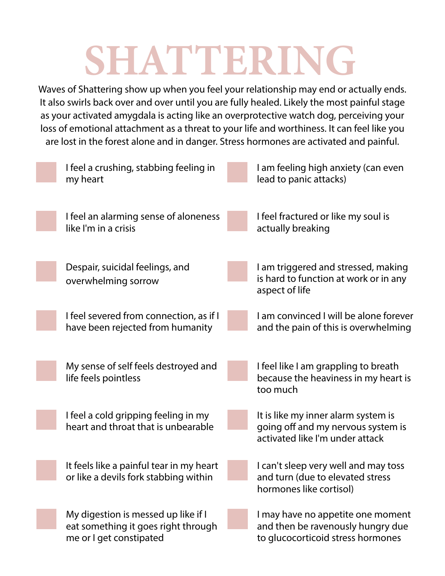## **SHATTERING**

Waves of Shattering show up when you feel your relationship may end or actually ends. It also swirls back over and over until you are fully healed. Likely the most painful stage as your activated amygdala is acting like an overprotective watch dog, perceiving your loss of emotional attachment as a threat to your life and worthiness. It can feel like you are lost in the forest alone and in danger. Stress hormones are activated and painful.

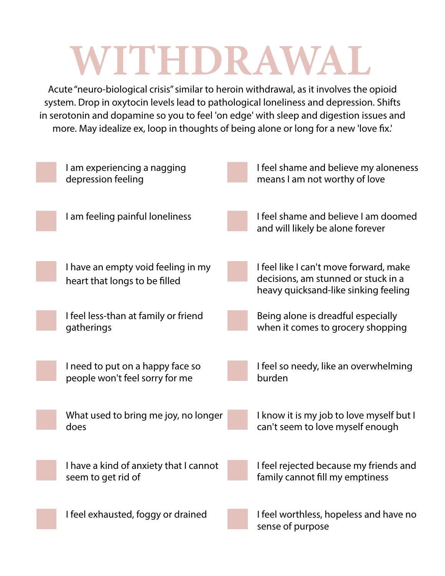## **WITHDRAWAL**

Acute "neuro-biological crisis" similar to heroin withdrawal, as it involves the opioid system. Drop in oxytocin levels lead to pathological loneliness and depression. Shifts in serotonin and dopamine so you to feel 'on edge' with sleep and digestion issues and more. May idealize ex, loop in thoughts of being alone or long for a new 'love fix.'

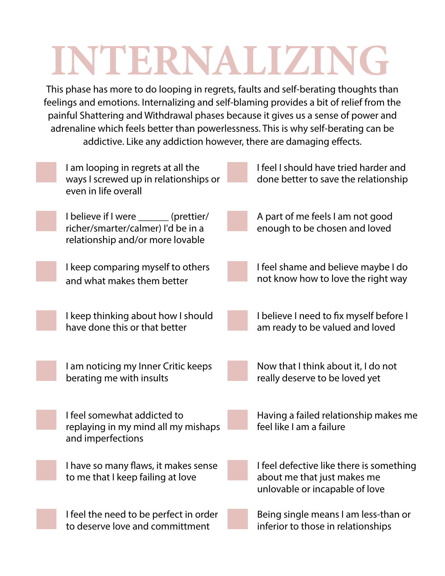## **INTERNALIZING**

This phase has more to do looping in regrets, faults and self-berating thoughts than feelings and emotions. Internalizing and self-blaming provides a bit of relief from the painful Shattering and Withdrawal phases because it gives us a sense of power and adrenaline which feels better than powerlessness. This is why self-berating can be addictive. Like any addiction however, there are damaging effects.